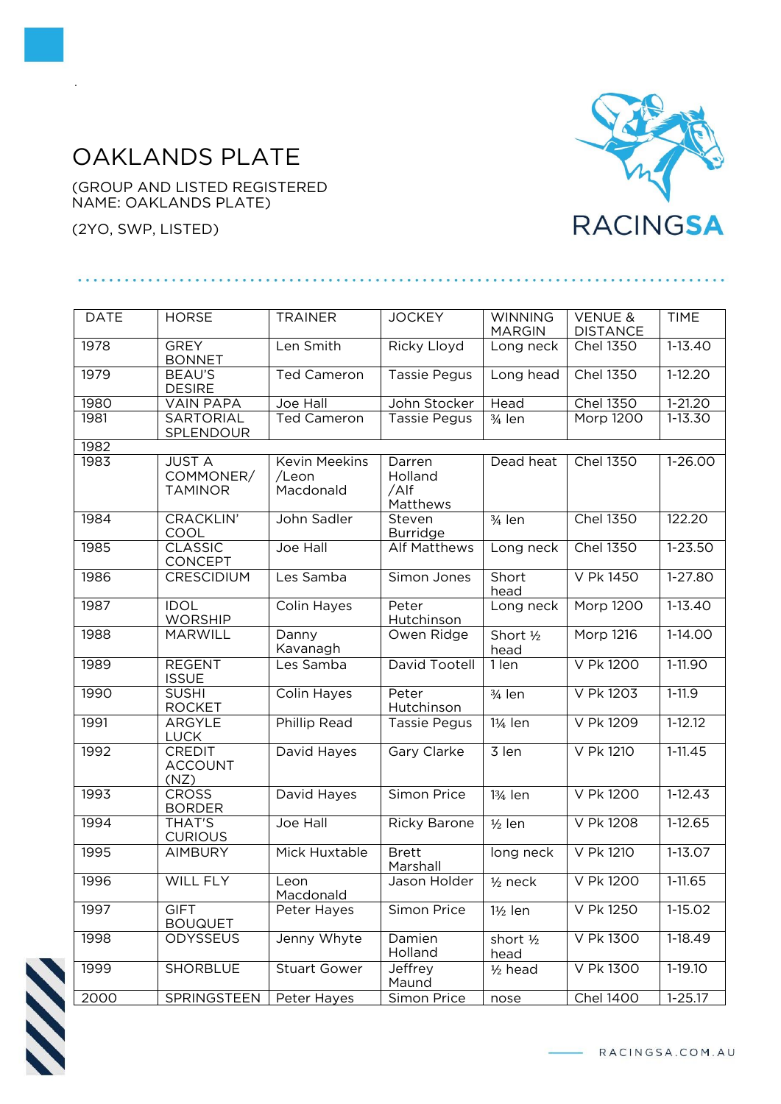## OAKLANDS PLATE

(GROUP AND LISTED REGISTERED NAME: OAKLANDS PLATE)

(2YO, SWP, LISTED)

.



| <b>DATE</b> | <b>HORSE</b>                                 | <b>TRAINER</b>                             | <b>JOCKEY</b>                         | <b>WINNING</b>       | <b>VENUE &amp;</b> | <b>TIME</b> |  |  |  |
|-------------|----------------------------------------------|--------------------------------------------|---------------------------------------|----------------------|--------------------|-------------|--|--|--|
|             |                                              |                                            |                                       | <b>MARGIN</b>        | <b>DISTANCE</b>    |             |  |  |  |
| 1978        | <b>GREY</b><br><b>BONNET</b>                 | Len Smith                                  | Ricky Lloyd                           | Long neck            | <b>Chel 1350</b>   | $1-13.40$   |  |  |  |
| 1979        | BEAU'S<br><b>DESIRE</b>                      | <b>Ted Cameron</b>                         | <b>Tassie Pegus</b>                   | Long head            | <b>Chel 1350</b>   | $1-12.20$   |  |  |  |
| 1980        | <b>VAIN PAPA</b>                             | Joe Hall                                   | John Stocker                          | Head                 | <b>Chel 1350</b>   | $1 - 21.20$ |  |  |  |
| 1981        | SARTORIAL<br>SPLENDOUR                       | <b>Ted Cameron</b>                         | Tassie Pegus                          | 3/4 len              | Morp 1200          | 1-13.30     |  |  |  |
| 1982        |                                              |                                            |                                       |                      |                    |             |  |  |  |
| 1983        | <b>JUST A</b><br>COMMONER/<br><b>TAMINOR</b> | <b>Kevin Meekins</b><br>/Leon<br>Macdonald | Darren<br>Holland<br>/Alf<br>Matthews | Dead heat            | <b>Chel 1350</b>   | $1-26.00$   |  |  |  |
| 1984        | CRACKLIN'<br>COOL                            | John Sadler                                | Steven<br><b>Burridge</b>             | $3/4$ len            | <b>Chel 1350</b>   | 122.20      |  |  |  |
| 1985        | <b>CLASSIC</b><br>CONCEPT                    | Joe Hall                                   | Alf Matthews                          | Long neck            | <b>Chel 1350</b>   | $1 - 23.50$ |  |  |  |
| 1986        | CRESCIDIUM                                   | Les Samba                                  | Simon Jones                           | Short<br>head        | V Pk 1450          | $1-27.80$   |  |  |  |
| 1987        | <b>IDOL</b><br><b>WORSHIP</b>                | Colin Hayes                                | Peter<br>Hutchinson                   | Long neck            | Morp 1200          | $1-13.40$   |  |  |  |
| 1988        | <b>MARWILL</b>                               | Danny<br>Kavanagh                          | Owen Ridge                            | Short 1/2<br>head    | Morp 1216          | $1-14.00$   |  |  |  |
| 1989        | <b>REGENT</b><br><b>ISSUE</b>                | Les Samba                                  | David Tootell                         | 1 len                | V Pk 1200          | $1-11.90$   |  |  |  |
| 1990        | <b>SUSHI</b><br><b>ROCKET</b>                | Colin Hayes                                | Peter<br>Hutchinson                   | $3/4$ len            | V Pk 1203          | $1-11.9$    |  |  |  |
| 1991        | <b>ARGYLE</b><br><b>LUCK</b>                 | <b>Phillip Read</b>                        | Tassie Pegus                          | 1¼ len               | V Pk 1209          | $1 - 12.12$ |  |  |  |
| 1992        | <b>CREDIT</b><br><b>ACCOUNT</b><br>(NZ)      | David Hayes                                | Gary Clarke                           | 3 len                | V Pk 1210          | $1 - 11.45$ |  |  |  |
| 1993        | <b>CROSS</b><br><b>BORDER</b>                | David Hayes                                | Simon Price                           | 13/ <sub>4</sub> len | V Pk 1200          | $1-12.43$   |  |  |  |
| 1994        | <b>THAT'S</b><br><b>CURIOUS</b>              | Joe Hall                                   | <b>Ricky Barone</b>                   | $1/2$ len            | V Pk 1208          | $1-12.65$   |  |  |  |
| 1995        | <b>AIMBURY</b>                               | Mick Huxtable                              | <b>Brett</b><br>Marshall              | long neck            | V Pk 1210          | 1-13.07     |  |  |  |
| 1996        | WILL FLY                                     | eon<br>Macdonald                           | Jason Holder                          | $1/2$ neck           | V Pk 1200          | 1-11.65     |  |  |  |
| 1997        | <b>GIFT</b><br><b>BOUQUET</b>                | Peter Hayes                                | Simon Price                           | $1\frac{1}{2}$ len   | V Pk 1250          | 1-15.02     |  |  |  |
| 1998        | <b>ODYSSEUS</b>                              | Jenny Whyte                                | Damien<br>Holland                     | short 1/2<br>head    | V Pk 1300          | 1-18.49     |  |  |  |
| 1999        | <b>SHORBLUE</b>                              | <b>Stuart Gower</b>                        | Jeffrey<br>Maund                      | $1/2$ head           | V Pk 1300          | 1-19.10     |  |  |  |
| 2000        | SPRINGSTEEN                                  | Peter Hayes                                | Simon Price                           | nose                 | <b>Chel 1400</b>   | $1 - 25.17$ |  |  |  |